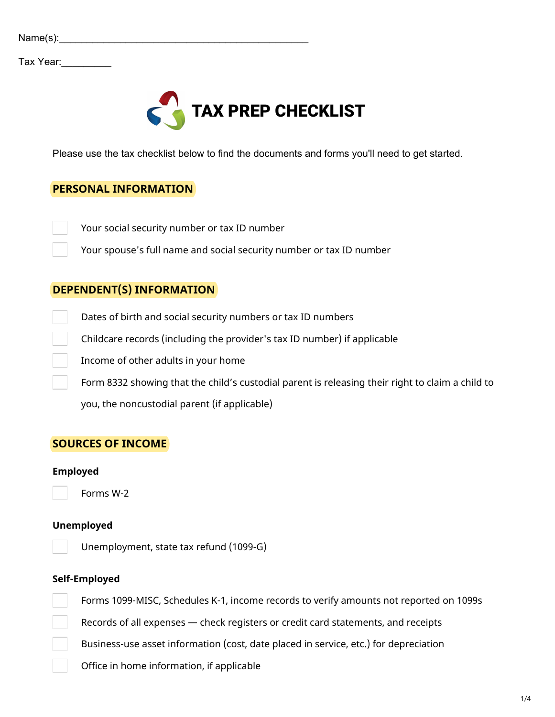| Name(s): |  |
|----------|--|
|          |  |

Tax Year:\_\_\_\_\_\_\_\_\_



Please use the tax checklist below to find the documents and forms you'll need to get started.

# **PERSONAL INFORMATION**

Your social security number or tax ID number

Your spouse's full name and social security number or tax ID number

## **DEPENDENT(S) INFORMATION**

Dates of birth and social security numbers or tax ID numbers

Childcare records (including the provider's tax ID number) if applicable

Income of other adults in your home

Form 8332 showing that the child's custodial parent is releasing their right to claim a child to

you, the noncustodial parent (if applicable)

# **SOURCES OF INCOME**

#### **Employed**

Forms W-2

### **Unemployed**

Unemployment, state tax refund (1099-G)

#### **Self-Employed**

Forms 1099-MISC, Schedules K-1, income records to verify amounts not reported on 1099s

Records of all expenses — check registers or credit card statements, and receipts

Business-use asset information (cost, date placed in service, etc.) for depreciation

Office in home information, if applicable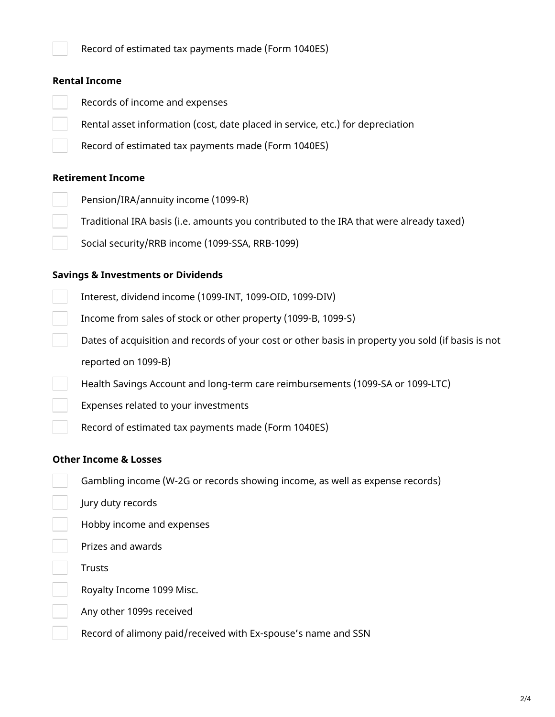Record of estimated tax payments made (Form 1040ES)

## **Rental Income**

- Records of income and expenses
	- Rental asset information (cost, date placed in service, etc.) for depreciation
	- Record of estimated tax payments made (Form 1040ES)

## **Retirement Income**

- Pension/IRA/annuity income (1099-R)
- Traditional IRA basis (i.e. amounts you contributed to the IRA that were already taxed)
	- Social security/RRB income (1099-SSA, RRB-1099)

## **Savings & Investments or Dividends**

- Interest, dividend income (1099-INT, 1099-OID, 1099-DIV)
	- Income from sales of stock or other property (1099-B, 1099-S)
	- Dates of acquisition and records of your cost or other basis in property you sold (if basis is not reported on 1099-B)
	- Health Savings Account and long-term care reimbursements (1099-SA or 1099-LTC)
	- Expenses related to your investments
	- Record of estimated tax payments made (Form 1040ES)

### **Other Income & Losses**

- Gambling income (W-2G or records showing income, as well as expense records)
- Jury duty records
- Hobby income and expenses
- Prizes and awards
- Trusts
- Royalty Income 1099 Misc.
- Any other 1099s received
- Record of alimony paid/received with Ex-spouse's name and SSN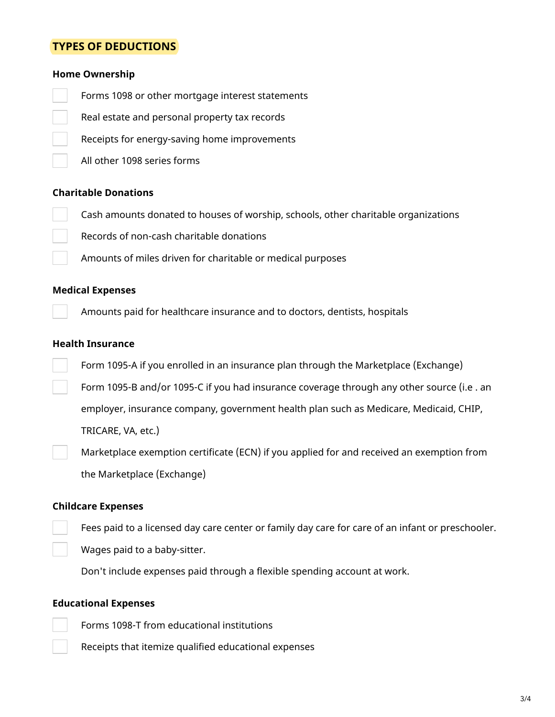# **TYPES OF DEDUCTIONS**

#### **Home Ownership**

- Forms 1098 or other mortgage interest statements
- Real estate and personal property tax records
- Receipts for energy-saving home improvements
	- All other 1098 series forms

#### **Charitable Donations**

- Cash amounts donated to houses of worship, schools, other charitable organizations
- Records of non-cash charitable donations
	- Amounts of miles driven for charitable or medical purposes

#### **Medical Expenses**

Amounts paid for healthcare insurance and to doctors, dentists, hospitals

#### **Health Insurance**

- Form 1095-A if you enrolled in an insurance plan through the Marketplace (Exchange)
- Form 1095-B and/or 1095-C if you had insurance coverage through any other source (i.e . an employer, insurance company, government health plan such as Medicare, Medicaid, CHIP,

TRICARE, VA, etc.)

Marketplace exemption certificate (ECN) if you applied for and received an exemption from the Marketplace (Exchange)

#### **Childcare Expenses**

- Fees paid to a licensed day care center or family day care for care of an infant or preschooler.
- Wages paid to a baby-sitter.

Don't include expenses paid through a flexible spending account at work.

## **Educational Expenses**

- Forms 1098-T from educational institutions
	- Receipts that itemize qualified educational expenses